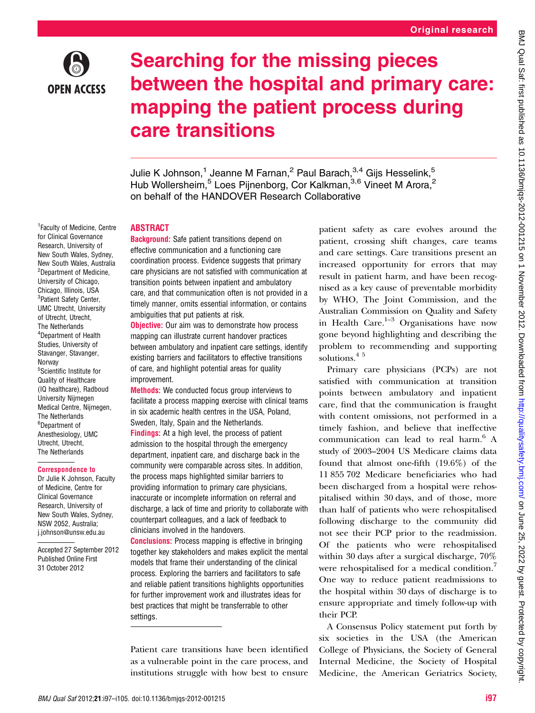

<sup>1</sup> Faculty of Medicine, Centre for Clinical Governance Research, University of New South Wales, Sydney, New South Wales, Australia <sup>2</sup>Department of Medicine, University of Chicago, Chicago, Illinois, USA <sup>3</sup>Patient Safety Center, UMC Utrecht, University of Utrecht, Utrecht, The Netherlands 4 Department of Health Studies, University of Stavanger, Stavanger,

Norway

5 Scientific Institute for Quality of Healthcare (IQ healthcare), Radboud University Nijmegen Medical Centre, Nijmegen, The Netherlands 6 Department of Anesthesiology, UMC Utrecht, Utrecht, The Netherlands

Correspondence to Dr Julie K Johnson, Faculty of Medicine, Centre for Clinical Governance Research, University of New South Wales, Sydney, NSW 2052, Australia; j.johnson@unsw.edu.au

# Searching for the missing pieces between the hospital and primary care: mapping the patient process during care transitions

Julie K Johnson,<sup>1</sup> Jeanne M Farnan,<sup>2</sup> Paul Barach,  $3,4$  Gijs Hesselink,  $5$ Hub Wollersheim,<sup>5</sup> Loes Pijnenborg, Cor Kalkman,<sup>3,6</sup> Vineet M Arora,<sup>2</sup> on behalf of the HANDOVER Research Collaborative

## ABSTRACT

Background: Safe patient transitions depend on effective communication and a functioning care coordination process. Evidence suggests that primary care physicians are not satisfied with communication at transition points between inpatient and ambulatory care, and that communication often is not provided in a timely manner, omits essential information, or contains ambiguities that put patients at risk.

**Objective:** Our aim was to demonstrate how process mapping can illustrate current handover practices between ambulatory and inpatient care settings, identify existing barriers and facilitators to effective transitions of care, and highlight potential areas for quality improvement.

Methods: We conducted focus group interviews to facilitate a process mapping exercise with clinical teams in six academic health centres in the USA, Poland, Sweden, Italy, Spain and the Netherlands.

Findings: At a high level, the process of patient admission to the hospital through the emergency department, inpatient care, and discharge back in the community were comparable across sites. In addition, the process maps highlighted similar barriers to providing information to primary care physicians, inaccurate or incomplete information on referral and discharge, a lack of time and priority to collaborate with counterpart colleagues, and a lack of feedback to clinicians involved in the handovers.

**Conclusions:** Process mapping is effective in bringing together key stakeholders and makes explicit the mental models that frame their understanding of the clinical process. Exploring the barriers and facilitators to safe and reliable patient transitions highlights opportunities for further improvement work and illustrates ideas for best practices that might be transferrable to other settings.

Patient care transitions have been identified as a vulnerable point in the care process, and institutions struggle with how best to ensure

patient safety as care evolves around the patient, crossing shift changes, care teams and care settings. Care transitions present an increased opportunity for errors that may result in patient harm, and have been recognised as a key cause of preventable morbidity by WHO, The Joint Commission, and the Australian Commission on Quality and Safety in Health Care. $1-3$  Organisations have now gone beyond highlighting and describing the problem to recommending and supporting solutions.<sup>45</sup>

Primary care physicians (PCPs) are not satisfied with communication at transition points between ambulatory and inpatient care, find that the communication is fraught with content omissions, not performed in a timely fashion, and believe that ineffective communication can lead to real harm.<sup>6</sup> A study of 2003–2004 US Medicare claims data found that almost one-fifth (19.6%) of the 11 855 702 Medicare beneficiaries who had been discharged from a hospital were rehospitalised within 30 days, and of those, more than half of patients who were rehospitalised following discharge to the community did not see their PCP prior to the readmission. Of the patients who were rehospitalised within 30 days after a surgical discharge, 70% were rehospitalised for a medical condition.<sup>7</sup> One way to reduce patient readmissions to the hospital within 30 days of discharge is to ensure appropriate and timely follow-up with their PCP.

A Consensus Policy statement put forth by six societies in the USA (the American College of Physicians, the Society of General Internal Medicine, the Society of Hospital Medicine, the American Geriatrics Society,

Accepted 27 September 2012 Published Online First 31 October 2012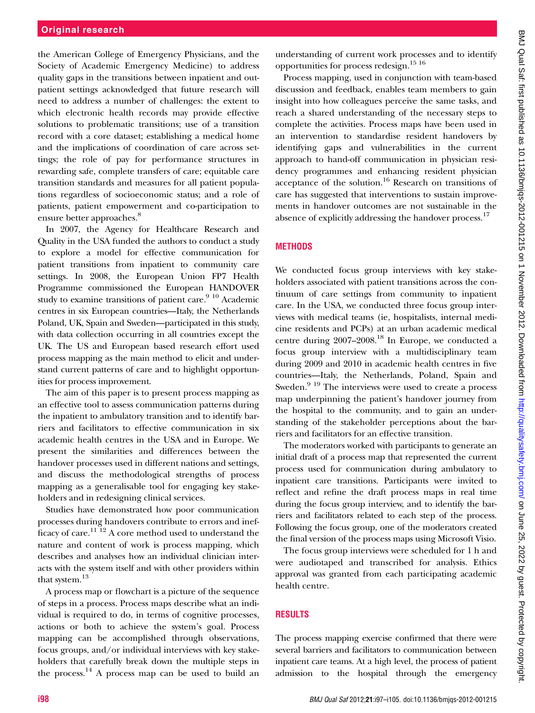the American College of Emergency Physicians, and the Society of Academic Emergency Medicine) to address quality gaps in the transitions between inpatient and outpatient settings acknowledged that future research will need to address a number of challenges: the extent to which electronic health records may provide effective solutions to problematic transitions; use of a transition record with a core dataset; establishing a medical home and the implications of coordination of care across settings; the role of pay for performance structures in rewarding safe, complete transfers of care; equitable care transition standards and measures for all patient populations regardless of socioeconomic status; and a role of patients, patient empowerment and co-participation to ensure better approaches.<sup>8</sup>

In 2007, the Agency for Healthcare Research and Quality in the USA funded the authors to conduct a study to explore a model for effective communication for patient transitions from inpatient to community care settings. In 2008, the European Union FP7 Health Programme commissioned the European HANDOVER study to examine transitions of patient care. $9^{10}$  Academic centres in six European countries—Italy, the Netherlands Poland, UK, Spain and Sweden—participated in this study, with data collection occurring in all countries except the UK. The US and European based research effort used process mapping as the main method to elicit and understand current patterns of care and to highlight opportunities for process improvement.

The aim of this paper is to present process mapping as an effective tool to assess communication patterns during the inpatient to ambulatory transition and to identify barriers and facilitators to effective communication in six academic health centres in the USA and in Europe. We present the similarities and differences between the handover processes used in different nations and settings, and discuss the methodological strengths of process mapping as a generalisable tool for engaging key stakeholders and in redesigning clinical services.

Studies have demonstrated how poor communication processes during handovers contribute to errors and inefficacy of care.11 12 A core method used to understand the nature and content of work is process mapping, which describes and analyses how an individual clinician interacts with the system itself and with other providers within that system.<sup>13</sup>

A process map or flowchart is a picture of the sequence of steps in a process. Process maps describe what an individual is required to do, in terms of cognitive processes, actions or both to achieve the system's goal. Process mapping can be accomplished through observations, focus groups, and/or individual interviews with key stakeholders that carefully break down the multiple steps in the process.<sup>14</sup> A process map can be used to build an understanding of current work processes and to identify opportunities for process redesign.15 16

Process mapping, used in conjunction with team-based discussion and feedback, enables team members to gain insight into how colleagues perceive the same tasks, and reach a shared understanding of the necessary steps to complete the activities. Process maps have been used in an intervention to standardise resident handovers by identifying gaps and vulnerabilities in the current approach to hand-off communication in physician residency programmes and enhancing resident physician acceptance of the solution.<sup>16</sup> Research on transitions of care has suggested that interventions to sustain improvements in handover outcomes are not sustainable in the absence of explicitly addressing the handover process.<sup>17</sup>

## **METHODS**

We conducted focus group interviews with key stakeholders associated with patient transitions across the continuum of care settings from community to inpatient care. In the USA, we conducted three focus group interviews with medical teams (ie, hospitalists, internal medicine residents and PCPs) at an urban academic medical centre during 2007–2008.<sup>18</sup> In Europe, we conducted a focus group interview with a multidisciplinary team during 2009 and 2010 in academic health centres in five countries—Italy, the Netherlands, Poland, Spain and Sweden.<sup>9 19</sup> The interviews were used to create a process map underpinning the patient's handover journey from the hospital to the community, and to gain an understanding of the stakeholder perceptions about the barriers and facilitators for an effective transition.

The moderators worked with participants to generate an initial draft of a process map that represented the current process used for communication during ambulatory to inpatient care transitions. Participants were invited to reflect and refine the draft process maps in real time during the focus group interview, and to identify the barriers and facilitators related to each step of the process. Following the focus group, one of the moderators created the final version of the process maps using Microsoft Visio.

The focus group interviews were scheduled for 1 h and were audiotaped and transcribed for analysis. Ethics approval was granted from each participating academic health centre.

## RESULTS

The process mapping exercise confirmed that there were several barriers and facilitators to communication between inpatient care teams. At a high level, the process of patient admission to the hospital through the emergency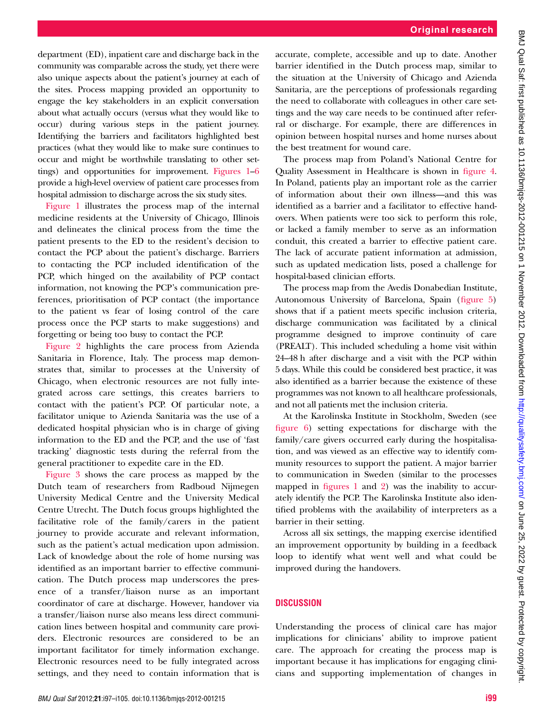department (ED), inpatient care and discharge back in the community was comparable across the study, yet there were also unique aspects about the patient's journey at each of the sites. Process mapping provided an opportunity to engage the key stakeholders in an explicit conversation about what actually occurs (versus what they would like to occur) during various steps in the patient journey. Identifying the barriers and facilitators highlighted best practices (what they would like to make sure continues to occur and might be worthwhile translating to other settings) and opportunities for improvement. Figures 1–6 provide a high-level overview of patient care processes from hospital admission to discharge across the six study sites.

Figure 1 illustrates the process map of the internal medicine residents at the University of Chicago, Illinois and delineates the clinical process from the time the patient presents to the ED to the resident's decision to contact the PCP about the patient's discharge. Barriers to contacting the PCP included identification of the PCP, which hinged on the availability of PCP contact information, not knowing the PCP's communication preferences, prioritisation of PCP contact (the importance to the patient vs fear of losing control of the care process once the PCP starts to make suggestions) and forgetting or being too busy to contact the PCP.

Figure 2 highlights the care process from Azienda Sanitaria in Florence, Italy. The process map demonstrates that, similar to processes at the University of Chicago, when electronic resources are not fully integrated across care settings, this creates barriers to contact with the patient's PCP. Of particular note, a facilitator unique to Azienda Sanitaria was the use of a dedicated hospital physician who is in charge of giving information to the ED and the PCP, and the use of 'fast tracking' diagnostic tests during the referral from the general practitioner to expedite care in the ED.

Figure 3 shows the care process as mapped by the Dutch team of researchers from Radboud Nijmegen University Medical Centre and the University Medical Centre Utrecht. The Dutch focus groups highlighted the facilitative role of the family/carers in the patient journey to provide accurate and relevant information, such as the patient's actual medication upon admission. Lack of knowledge about the role of home nursing was identified as an important barrier to effective communication. The Dutch process map underscores the presence of a transfer/liaison nurse as an important coordinator of care at discharge. However, handover via a transfer/liaison nurse also means less direct communication lines between hospital and community care providers. Electronic resources are considered to be an important facilitator for timely information exchange. Electronic resources need to be fully integrated across settings, and they need to contain information that is accurate, complete, accessible and up to date. Another barrier identified in the Dutch process map, similar to the situation at the University of Chicago and Azienda Sanitaria, are the perceptions of professionals regarding the need to collaborate with colleagues in other care settings and the way care needs to be continued after referral or discharge. For example, there are differences in opinion between hospital nurses and home nurses about the best treatment for wound care.

The process map from Poland's National Centre for Quality Assessment in Healthcare is shown in figure 4. In Poland, patients play an important role as the carrier of information about their own illness—and this was identified as a barrier and a facilitator to effective handovers. When patients were too sick to perform this role, or lacked a family member to serve as an information conduit, this created a barrier to effective patient care. The lack of accurate patient information at admission, such as updated medication lists, posed a challenge for hospital-based clinician efforts.

The process map from the Avedis Donabedian Institute, Autonomous University of Barcelona, Spain (figure 5) shows that if a patient meets specific inclusion criteria, discharge communication was facilitated by a clinical programme designed to improve continuity of care (PREALT). This included scheduling a home visit within 24–48 h after discharge and a visit with the PCP within 5 days. While this could be considered best practice, it was also identified as a barrier because the existence of these programmes was not known to all healthcare professionals, and not all patients met the inclusion criteria.

At the Karolinska Institute in Stockholm, Sweden (see figure 6) setting expectations for discharge with the family/care givers occurred early during the hospitalisation, and was viewed as an effective way to identify community resources to support the patient. A major barrier to communication in Sweden (similar to the processes mapped in figures 1 and 2) was the inability to accurately identify the PCP. The Karolinska Institute also identified problems with the availability of interpreters as a barrier in their setting.

Across all six settings, the mapping exercise identified an improvement opportunity by building in a feedback loop to identify what went well and what could be improved during the handovers.

# **DISCUSSION**

Understanding the process of clinical care has major implications for clinicians' ability to improve patient care. The approach for creating the process map is important because it has implications for engaging clinicians and supporting implementation of changes in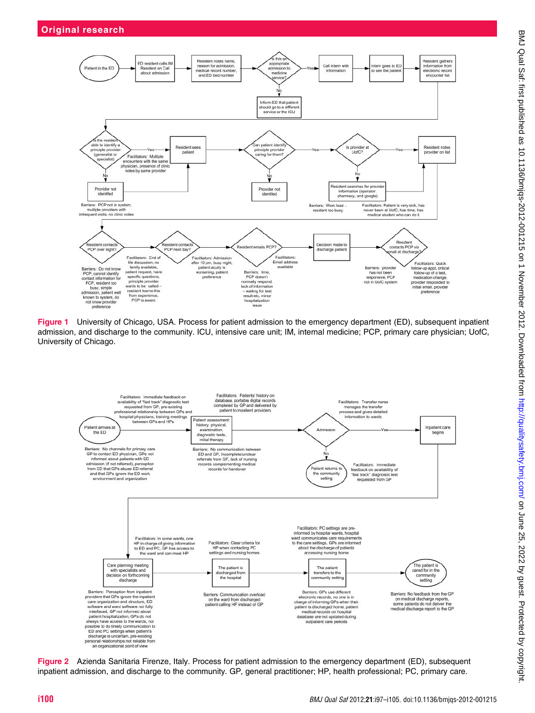

Figure 1 University of Chicago, USA. Process for patient admission to the emergency department (ED), subsequent inpatient admission, and discharge to the community. ICU, intensive care unit; IM, internal medicine; PCP, primary care physician; UofC, University of Chicago.



Figure 2 Azienda Sanitaria Firenze, Italy. Process for patient admission to the emergency department (ED), subsequent inpatient admission, and discharge to the community. GP, general practitioner; HP, health professional; PC, primary care.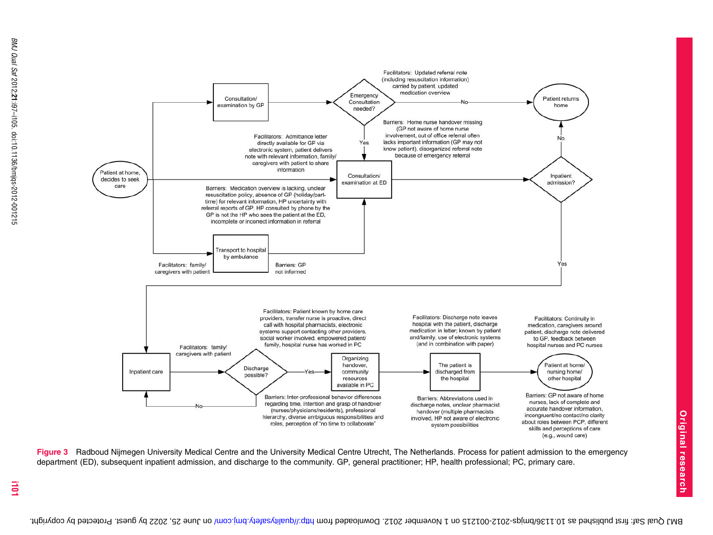i101



Figure 3 Radboud Nijmegen University Medical Centre and the University Medical Centre Utrecht, The Netherlands. Process for patient admission to the emergency department (ED), subsequent inpatient admission, and discharge to the community. GP, general practitioner; HP, health professional; PC, primary care.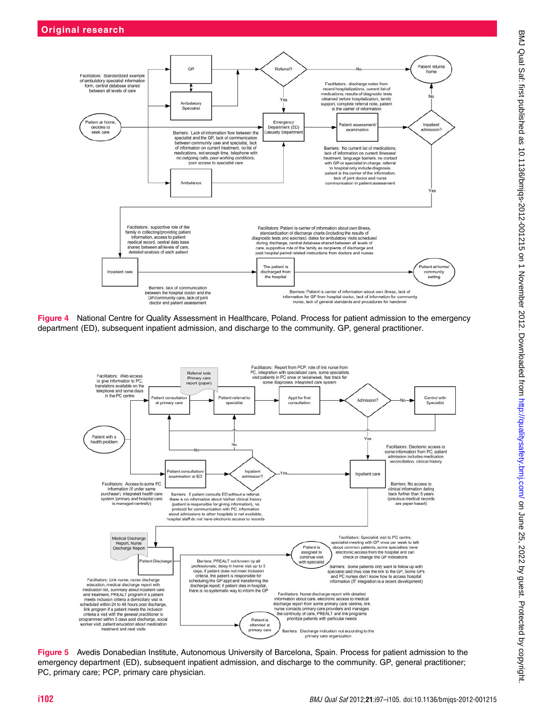

Figure 4 National Centre for Quality Assessment in Healthcare, Poland. Process for patient admission to the emergency department (ED), subsequent inpatient admission, and discharge to the community. GP, general practitioner.



Figure 5 Avedis Donabedian Institute, Autonomous University of Barcelona, Spain. Process for patient admission to the emergency department (ED), subsequent inpatient admission, and discharge to the community. GP, general practitioner; PC, primary care; PCP, primary care physician.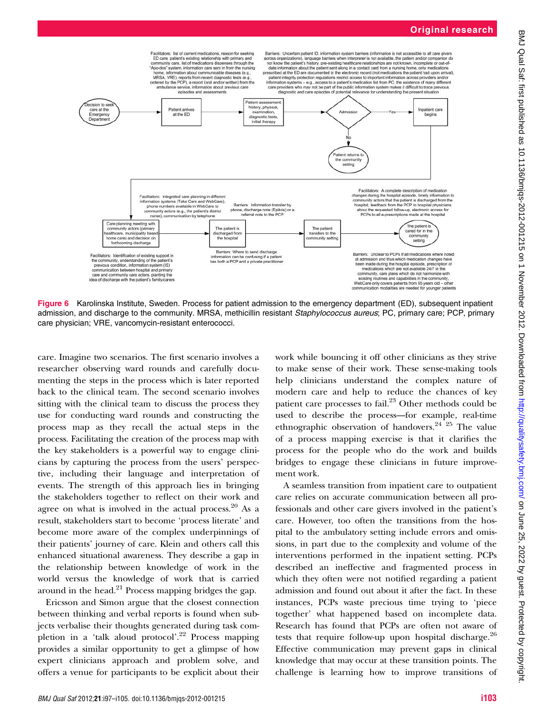# Original research



Figure 6 Karolinska Institute, Sweden. Process for patient admission to the emergency department (ED), subsequent inpatient admission, and discharge to the community. MRSA, methicillin resistant Staphylococcus aureus; PC, primary care; PCP, primary care physician; VRE, vancomycin-resistant enterococci.

care. Imagine two scenarios. The first scenario involves a researcher observing ward rounds and carefully documenting the steps in the process which is later reported back to the clinical team. The second scenario involves sitting with the clinical team to discuss the process they use for conducting ward rounds and constructing the process map as they recall the actual steps in the process. Facilitating the creation of the process map with the key stakeholders is a powerful way to engage clinicians by capturing the process from the users' perspective, including their language and interpretation of events. The strength of this approach lies in bringing the stakeholders together to reflect on their work and agree on what is involved in the actual process. $20$  As a result, stakeholders start to become 'process literate' and become more aware of the complex underpinnings of their patients' journey of care. Klein and others call this enhanced situational awareness. They describe a gap in the relationship between knowledge of work in the world versus the knowledge of work that is carried around in the head. $^{21}$  Process mapping bridges the gap.

Ericsson and Simon argue that the closest connection between thinking and verbal reports is found when subjects verbalise their thoughts generated during task completion in a 'talk aloud protocol'.<sup>22</sup> Process mapping provides a similar opportunity to get a glimpse of how expert clinicians approach and problem solve, and offers a venue for participants to be explicit about their

work while bouncing it off other clinicians as they strive to make sense of their work. These sense-making tools help clinicians understand the complex nature of modern care and help to reduce the chances of key patient care processes to fail.<sup>23</sup> Other methods could be used to describe the process—for example, real-time ethnographic observation of handovers.  $24\overline{25}$  The value of a process mapping exercise is that it clarifies the process for the people who do the work and builds bridges to engage these clinicians in future improvement work.

A seamless transition from inpatient care to outpatient care relies on accurate communication between all professionals and other care givers involved in the patient's care. However, too often the transitions from the hospital to the ambulatory setting include errors and omissions, in part due to the complexity and volume of the interventions performed in the inpatient setting. PCPs described an ineffective and fragmented process in which they often were not notified regarding a patient admission and found out about it after the fact. In these instances, PCPs waste precious time trying to 'piece together' what happened based on incomplete data. Research has found that PCPs are often not aware of tests that require follow-up upon hospital discharge.<sup>26</sup> Effective communication may prevent gaps in clinical knowledge that may occur at these transition points. The challenge is learning how to improve transitions of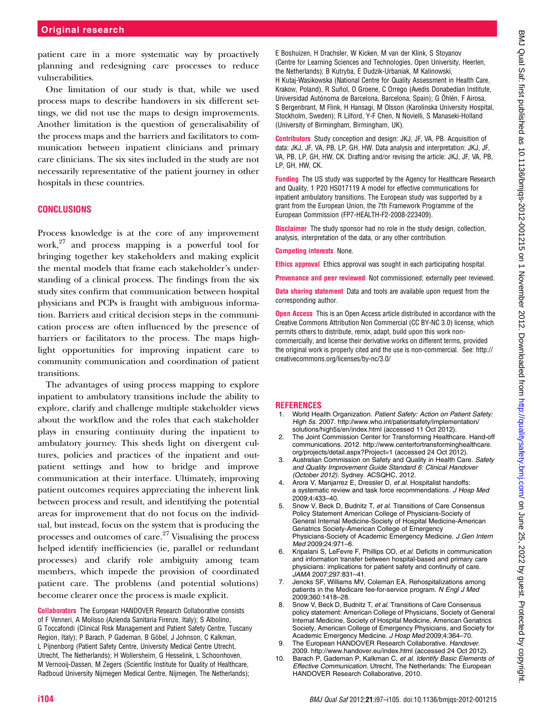patient care in a more systematic way by proactively planning and redesigning care processes to reduce vulnerabilities.

One limitation of our study is that, while we used process maps to describe handovers in six different settings, we did not use the maps to design improvements. Another limitation is the question of generalisability of the process maps and the barriers and facilitators to communication between inpatient clinicians and primary care clinicians. The six sites included in the study are not necessarily representative of the patient journey in other hospitals in these countries.

# **CONCLUSIONS**

Process knowledge is at the core of any improvement work,<sup>27</sup> and process mapping is a powerful tool for bringing together key stakeholders and making explicit the mental models that frame each stakeholder's understanding of a clinical process. The findings from the six study sites confirm that communication between hospital physicians and PCPs is fraught with ambiguous information. Barriers and critical decision steps in the communication process are often influenced by the presence of barriers or facilitators to the process. The maps highlight opportunities for improving inpatient care to community communication and coordination of patient transitions.

The advantages of using process mapping to explore inpatient to ambulatory transitions include the ability to explore, clarify and challenge multiple stakeholder views about the workflow and the roles that each stakeholder plays in ensuring continuity during the inpatient to ambulatory journey. This sheds light on divergent cultures, policies and practices of the inpatient and outpatient settings and how to bridge and improve communication at their interface. Ultimately, improving patient outcomes requires appreciating the inherent link between process and result, and identifying the potential areas for improvement that do not focus on the individual, but instead, focus on the system that is producing the processes and outcomes of care.<sup>27</sup> Visualising the process helped identify inefficiencies (ie, parallel or redundant processes) and clarify role ambiguity among team members, which impede the provision of coordinated patient care. The problems (and potential solutions) become clearer once the process is made explicit.

Collaborators The European HANDOVER Research Collaborative consists of F Venneri, A Molisso (Azienda Sanitaria Firenze, Italy); S Albolino, G Toccafondi (Clinical Risk Management and Patient Safety Centre, Tuscany Region, Italy); P Barach, P Gademan, B Göbel, J Johnson, C Kalkman, L Pijnenborg (Patient Safety Centre, University Medical Centre Utrecht, Utrecht, The Netherlands); H Wollersheim, G Hesselink, L Schoonhoven, M Vernooij-Dassen, M Zegers (Scientific Institute for Quality of Healthcare, Radboud University Nijmegen Medical Centre, Nijmegen, The Netherlands);

E Boshuizen, H Drachsler, W Kicken, M van der Klink, S Stoyanov (Centre for Learning Sciences and Technologies, Open University, Heerlen, the Netherlands); B Kutryba, E Dudzik-Urbaniak, M Kalinowski, H Kutaj-Wasikowska (National Centre for Quality Assessment in Health Care, Krakow, Poland), R Suñol, O Groene, C Orrego (Avedis Donabedian Institute, Universidad Autónoma de Barcelona, Barcelona, Spain); G Öhlén, F Airosa, S Bergenbrant, M Flink, H Hansagi, M Olsson (Karolinska University Hospital, Stockholm, Sweden); R Lilford, Y-F Chen, N Novielli, S Manaseki-Holland (University of Birmingham, Birmingham, UK).

Contributors Study conception and design: JKJ, JF, VA, PB. Acquisition of data: JKJ, JF, VA, PB, LP, GH, HW. Data analysis and interpretation: JKJ, JF, VA, PB, LP, GH, HW, CK. Drafting and/or revising the article: JKJ, JF, VA, PB, LP, GH, HW, CK.

Funding The US study was supported by the Agency for Healthcare Research and Quality, 1 P20 HS017119 A model for effective communications for inpatient ambulatory transitions. The European study was supported by a grant from the European Union, the 7th Framework Programme of the European Commission (FP7-HEALTH-F2-2008-223409).

**Disclaimer** The study sponsor had no role in the study design, collection, analysis, interpretation of the data, or any other contribution.

Competing interests None.

Ethics approval Ethics approval was sought in each participating hospital.

Provenance and peer reviewed Not commissioned; externally peer reviewed.

Data sharing statement Data and tools are available upon request from the corresponding author.

**Open Access** This is an Open Access article distributed in accordance with the Creative Commons Attribution Non Commercial (CC BY-NC 3.0) license, which permits others to distribute, remix, adapt, build upon this work noncommercially, and license their derivative works on different terms, provided the original work is properly cited and the use is non-commercial. See: http:// creativecommons.org/licenses/by-nc/3.0/

## **REFERENCES**

- 1. World Health Organization. Patient Safety: Action on Patient Safety: High 5s. 2007. [http://www.who.int/patientsafety/implementation/](http://www.who.int/patientsafety/implementation/solutions/high5s/en/index.html) [solutions/high5s/en/index.html](http://www.who.int/patientsafety/implementation/solutions/high5s/en/index.html) (accessed 11 Oct 2012).
- The Joint Commission Center for Transforming Healthcare. Hand-off communications. 2012. http://www.centerfortransforminghealthcare. org/projects/detail.aspx?Project=1 (accessed 24 Oct 2012).
- 3. Australian Commission on Safety and Quality in Health Care. Safety and Quality Improvement Guide Standard 6: Clinical Handover (October 2012). Sydney. ACSQHC, 2012.
- Arora V, Manjarrez E, Dressler D, et al. Hospitalist handoffs: a systematic review and task force recommendations. J Hosp Med 2009;4:433–40.
- 5. Snow V, Beck D, Budnitz T, et al. Transitions of Care Consensus Policy Statement American College of Physicians-Society of General Internal Medicine-Society of Hospital Medicine-American Geriatrics Society-American College of Emergency Physicians-Society of Academic Emergency Medicine. J Gen Intern Med 2009;24:971–6.
- Kripalani S, LeFevre F, Phillips CO, et al. Deficits in communication and information transfer between hospital-based and primary care physicians: implications for patient safety and continuity of care. JAMA 2007;297:831–41.
- 7. Jencks SF, Williams MV, Coleman EA. Rehospitalizations among patients in the Medicare fee-for-service program. N Engl J Med 2009;360:1418–28.
- 8. Snow V, Beck D, Budnitz T, et al. Transitions of Care Consensus policy statement: American College of Physicians, Society of General Internal Medicine, Society of Hospital Medicine, American Geriatrics Society, American College of Emergency Physicians, and Society for Academic Emergency Medicine. J Hosp Med 2009;4:364–70.
- 9. The European HANDOVER Research Collaborative. Handover. 2009. http://www.handover.eu/index.html (accessed 24 Oct 2012).
- 10. Barach P, Gademan P, Kalkman C, et al. Identify Basic Elements of Effective Communication. Utrecht, The Netherlands: The European HANDOVER Research Collaborative, 2010.